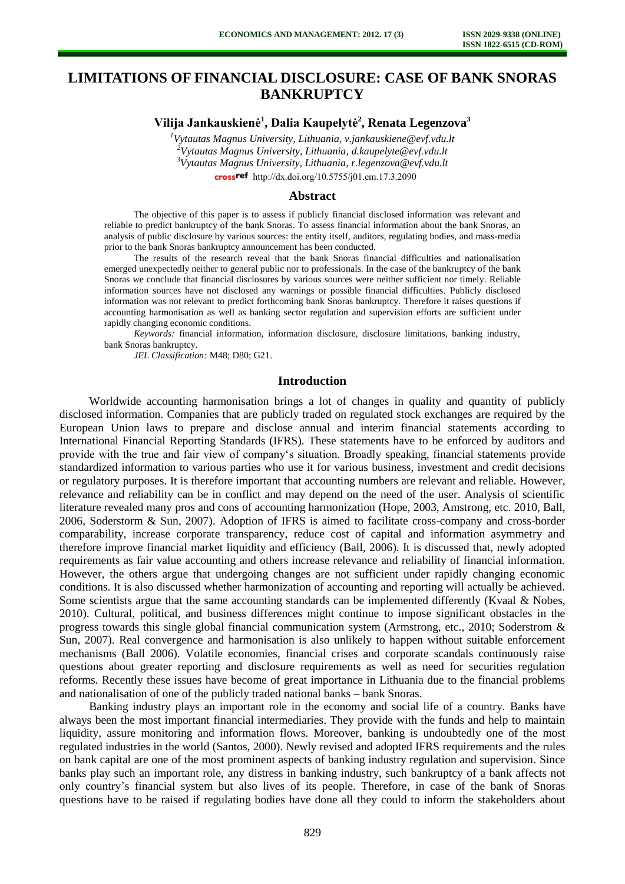# **LIMITATIONS OF FINANCIAL DISCLOSURE: CASE OF BANK SNORAS BANKRUPTCY**

**Vilija Jankauskienė<sup>1</sup> , Dalia Kaupelytė<sup>2</sup> , Renata Legenzova<sup>3</sup>**

*Vytautas Magnus University, Lithuania, v.jankauskiene@evf.vdu.lt Vytautas Magnus University, Lithuania, d.kaupelyte@evf.vdu.lt Vytautas Magnus University, Lithuania, r.legenzova@evf.vdu.lt*  crossref [http://dx.doi.org/10.5755/j01.e](http://dx.doi.org/10.5755/j01.em.17.3.2090)m.17.3.2090

#### **Abstract**

The objective of this paper is to assess if publicly financial disclosed information was relevant and reliable to predict bankruptcy of the bank Snoras. To assess financial information about the bank Snoras, an analysis of public disclosure by various sources: the entity itself, auditors, regulating bodies, and mass-media prior to the bank Snoras bankruptcy announcement has been conducted.

The results of the research reveal that the bank Snoras financial difficulties and nationalisation emerged unexpectedly neither to general public nor to professionals. In the case of the bankruptcy of the bank Snoras we conclude that financial disclosures by various sources were neither sufficient nor timely. Reliable information sources have not disclosed any warnings or possible financial difficulties. Publicly disclosed information was not relevant to predict forthcoming bank Snoras bankruptcy. Therefore it raises questions if accounting harmonisation as well as banking sector regulation and supervision efforts are sufficient under rapidly changing economic conditions.

*Keywords:* financial information, information disclosure, disclosure limitations, banking industry, bank Snoras bankruptcy.

*JEL Classification:* M48; D80; G21.

## **Introduction**

Worldwide accounting harmonisation brings a lot of changes in quality and quantity of publicly disclosed information. Companies that are publicly traded on regulated stock exchanges are required by the European Union laws to prepare and disclose annual and interim financial statements according to International Financial Reporting Standards (IFRS). These statements have to be enforced by auditors and provide with the true and fair view of company's situation. Broadly speaking, financial statements provide standardized information to various parties who use it for various business, investment and credit decisions or regulatory purposes. It is therefore important that accounting numbers are relevant and reliable. However, relevance and reliability can be in conflict and may depend on the need of the user. Analysis of scientific literature revealed many pros and cons of accounting harmonization (Hope, 2003, Amstrong, etc. 2010, Ball, 2006, Soderstorm & Sun, 2007). Adoption of IFRS is aimed to facilitate cross-company and cross-border comparability, increase corporate transparency, reduce cost of capital and information asymmetry and therefore improve financial market liquidity and efficiency (Ball, 2006). It is discussed that, newly adopted requirements as fair value accounting and others increase relevance and reliability of financial information. However, the others argue that undergoing changes are not sufficient under rapidly changing economic conditions. It is also discussed whether harmonization of accounting and reporting will actually be achieved. Some scientists argue that the same accounting standards can be implemented differently (Kvaal & Nobes, 2010). Cultural, political, and business differences might continue to impose significant obstacles in the progress towards this single global financial communication system (Armstrong, etc., 2010; Soderstrom & Sun, 2007). Real convergence and harmonisation is also unlikely to happen without suitable enforcement mechanisms (Ball 2006). Volatile economies, financial crises and corporate scandals continuously raise questions about greater reporting and disclosure requirements as well as need for securities regulation reforms. Recently these issues have become of great importance in Lithuania due to the financial problems and nationalisation of one of the publicly traded national banks – bank Snoras.

Banking industry plays an important role in the economy and social life of a country. Banks have always been the most important financial intermediaries. They provide with the funds and help to maintain liquidity, assure monitoring and information flows. Moreover, banking is undoubtedly one of the most regulated industries in the world (Santos, 2000). Newly revised and adopted IFRS requirements and the rules on bank capital are one of the most prominent aspects of banking industry regulation and supervision. Since banks play such an important role, any distress in banking industry, such bankruptcy of a bank affects not only country's financial system but also lives of its people. Therefore, in case of the bank of Snoras questions have to be raised if regulating bodies have done all they could to inform the stakeholders about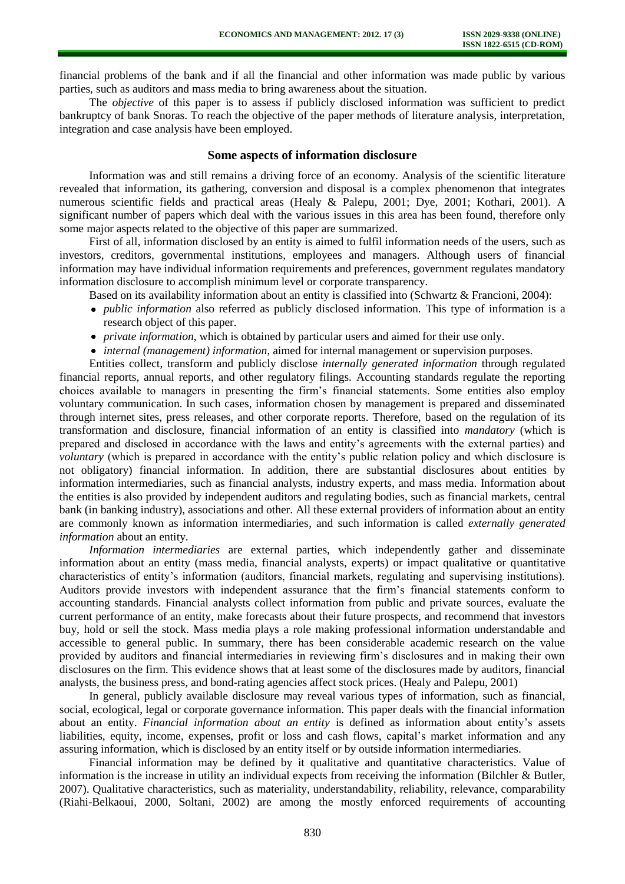financial problems of the bank and if all the financial and other information was made public by various parties, such as auditors and mass media to bring awareness about the situation.

The *objective* of this paper is to assess if publicly disclosed information was sufficient to predict bankruptcy of bank Snoras. To reach the objective of the paper methods of literature analysis, interpretation, integration and case analysis have been employed.

### **Some aspects of information disclosure**

Information was and still remains a driving force of an economy. Analysis of the scientific literature revealed that information, its gathering, conversion and disposal is a complex phenomenon that integrates numerous scientific fields and practical areas (Healy & Palepu, 2001; Dye, 2001; Kothari, 2001). A significant number of papers which deal with the various issues in this area has been found, therefore only some major aspects related to the objective of this paper are summarized.

First of all, information disclosed by an entity is aimed to fulfil information needs of the users, such as investors, creditors, governmental institutions, employees and managers. Although users of financial information may have individual information requirements and preferences, government regulates mandatory information disclosure to accomplish minimum level or corporate transparency.

Based on its availability information about an entity is classified into (Schwartz & Francioni, 2004):

- *public information* also referred as publicly disclosed information. This type of information is a research object of this paper.
- *private information*, which is obtained by particular users and aimed for their use only.
- *internal (management) information*, aimed for internal management or supervision purposes.

Entities collect, transform and publicly disclose *internally generated information* through regulated financial reports, annual reports, and other regulatory filings. Accounting standards regulate the reporting choices available to managers in presenting the firm's financial statements. Some entities also employ voluntary communication. In such cases, information chosen by management is prepared and disseminated through internet sites, press releases, and other corporate reports. Therefore, based on the regulation of its transformation and disclosure, financial information of an entity is classified into *mandatory* (which is prepared and disclosed in accordance with the laws and entity's agreements with the external parties) and *voluntary* (which is prepared in accordance with the entity's public relation policy and which disclosure is not obligatory) financial information. In addition, there are substantial disclosures about entities by information intermediaries, such as financial analysts, industry experts, and mass media. Information about the entities is also provided by independent auditors and regulating bodies, such as financial markets, central bank (in banking industry), associations and other. All these external providers of information about an entity are commonly known as information intermediaries, and such information is called *externally generated information* about an entity.

*Information intermediaries* are external parties, which independently gather and disseminate information about an entity (mass media, financial analysts, experts) or impact qualitative or quantitative characteristics of entity's information (auditors, financial markets, regulating and supervising institutions). Auditors provide investors with independent assurance that the firm's financial statements conform to accounting standards. Financial analysts collect information from public and private sources, evaluate the current performance of an entity, make forecasts about their future prospects, and recommend that investors buy, hold or sell the stock. Mass media plays a role making professional information understandable and accessible to general public. In summary, there has been considerable academic research on the value provided by auditors and financial intermediaries in reviewing firm's disclosures and in making their own disclosures on the firm. This evidence shows that at least some of the disclosures made by auditors, financial analysts, the business press, and bond-rating agencies affect stock prices. (Healy and Palepu, 2001)

In general, publicly available disclosure may reveal various types of information, such as financial, social, ecological, legal or corporate governance information. This paper deals with the financial information about an entity. *Financial information about an entity* is defined as information about entity's assets liabilities, equity, income, expenses, profit or loss and cash flows, capital's market information and any assuring information, which is disclosed by an entity itself or by outside information intermediaries.

Financial information may be defined by it qualitative and quantitative characteristics. Value of information is the increase in utility an individual expects from receiving the information (Bilchler & Butler, 2007). Qualitative characteristics, such as materiality, understandability, reliability, relevance, comparability (Riahi-Belkaoui, 2000, Soltani, 2002) are among the mostly enforced requirements of accounting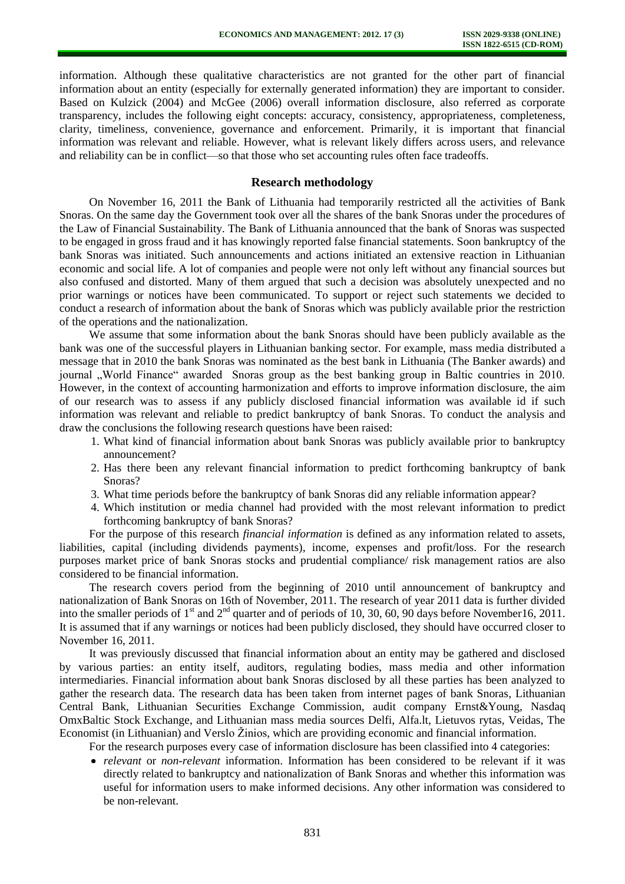information. Although these qualitative characteristics are not granted for the other part of financial information about an entity (especially for externally generated information) they are important to consider. Based on Kulzick (2004) and McGee (2006) overall information disclosure, also referred as corporate transparency, includes the following eight concepts: accuracy, consistency, appropriateness, completeness, clarity, timeliness, convenience, governance and enforcement. Primarily, it is important that financial information was relevant and reliable. However, what is relevant likely differs across users, and relevance and reliability can be in conflict—so that those who set accounting rules often face tradeoffs.

## **Research methodology**

On November 16, 2011 the Bank of Lithuania had temporarily restricted all the activities of Bank Snoras. On the same day the Government took over all the shares of the bank Snoras under the procedures of the Law of Financial Sustainability. The Bank of Lithuania announced that the bank of Snoras was suspected to be engaged in gross fraud and it has knowingly reported false financial statements. Soon bankruptcy of the bank Snoras was initiated. Such announcements and actions initiated an extensive reaction in Lithuanian economic and social life. A lot of companies and people were not only left without any financial sources but also confused and distorted. Many of them argued that such a decision was absolutely unexpected and no prior warnings or notices have been communicated. To support or reject such statements we decided to conduct a research of information about the bank of Snoras which was publicly available prior the restriction of the operations and the nationalization.

We assume that some information about the bank Snoras should have been publicly available as the bank was one of the successful players in Lithuanian banking sector. For example, mass media distributed a message that in 2010 the bank Snoras was nominated as the best bank in Lithuania (The Banker awards) and journal "World Finance" awarded Snoras group as the best banking group in Baltic countries in 2010. However, in the context of accounting harmonization and efforts to improve information disclosure, the aim of our research was to assess if any publicly disclosed financial information was available id if such information was relevant and reliable to predict bankruptcy of bank Snoras. To conduct the analysis and draw the conclusions the following research questions have been raised:

- 1. What kind of financial information about bank Snoras was publicly available prior to bankruptcy announcement?
- 2. Has there been any relevant financial information to predict forthcoming bankruptcy of bank Snoras?
- 3. What time periods before the bankruptcy of bank Snoras did any reliable information appear?
- 4. Which institution or media channel had provided with the most relevant information to predict forthcoming bankruptcy of bank Snoras?

For the purpose of this research *financial information* is defined as any information related to assets, liabilities, capital (including dividends payments), income, expenses and profit/loss. For the research purposes market price of bank Snoras stocks and prudential compliance/ risk management ratios are also considered to be financial information.

The research covers period from the beginning of 2010 until announcement of bankruptcy and nationalization of Bank Snoras on 16th of November, 2011. The research of year 2011 data is further divided into the smaller periods of 1<sup>st</sup> and 2<sup>nd</sup> quarter and of periods of 10, 30, 60, 90 days before November16, 2011. It is assumed that if any warnings or notices had been publicly disclosed, they should have occurred closer to November 16, 2011.

It was previously discussed that financial information about an entity may be gathered and disclosed by various parties: an entity itself, auditors, regulating bodies, mass media and other information intermediaries. Financial information about bank Snoras disclosed by all these parties has been analyzed to gather the research data. The research data has been taken from internet pages of bank Snoras, Lithuanian Central Bank, Lithuanian Securities Exchange Commission, audit company Ernst&Young, Nasdaq OmxBaltic Stock Exchange, and Lithuanian mass media sources Delfi, Alfa.lt, Lietuvos rytas, Veidas, The Economist (in Lithuanian) and Verslo Žinios, which are providing economic and financial information.

For the research purposes every case of information disclosure has been classified into 4 categories:

*relevant* or *non-relevant* information. Information has been considered to be relevant if it was directly related to bankruptcy and nationalization of Bank Snoras and whether this information was useful for information users to make informed decisions. Any other information was considered to be non-relevant.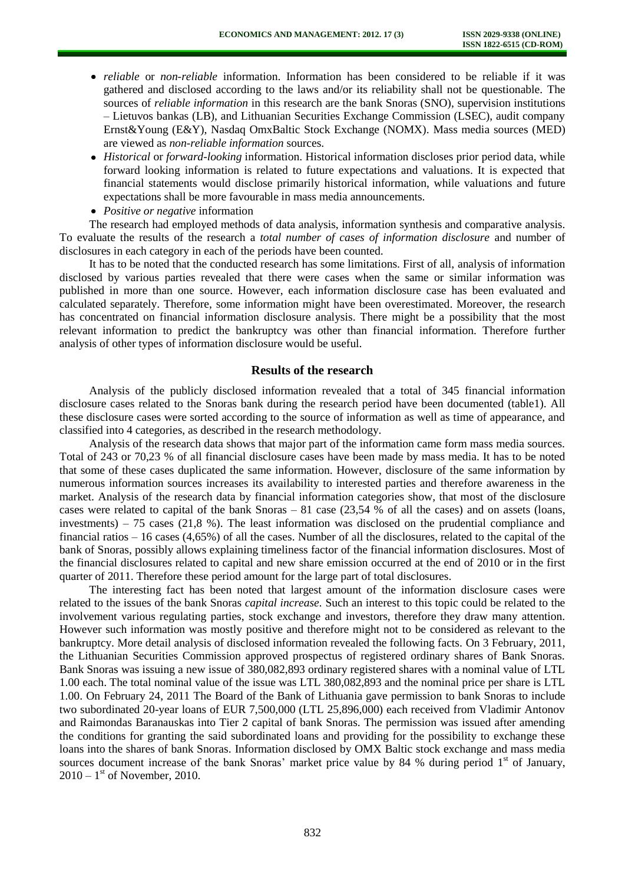- *reliable* or *non-reliable* information. Information has been considered to be reliable if it was gathered and disclosed according to the laws and/or its reliability shall not be questionable. The sources of *reliable information* in this research are the bank Snoras (SNO), supervision institutions – Lietuvos bankas (LB), and Lithuanian Securities Exchange Commission (LSEC), audit company Ernst&Young (E&Y), Nasdaq OmxBaltic Stock Exchange (NOMX). Mass media sources (MED) are viewed as *non-reliable information* sources.
- *Historical* or *forward-looking* information. Historical information discloses prior period data, while forward looking information is related to future expectations and valuations. It is expected that financial statements would disclose primarily historical information, while valuations and future expectations shall be more favourable in mass media announcements.
- *Positive or negative* information

The research had employed methods of data analysis, information synthesis and comparative analysis. To evaluate the results of the research a *total number of cases of information disclosure* and number of disclosures in each category in each of the periods have been counted.

It has to be noted that the conducted research has some limitations. First of all, analysis of information disclosed by various parties revealed that there were cases when the same or similar information was published in more than one source. However, each information disclosure case has been evaluated and calculated separately. Therefore, some information might have been overestimated. Moreover, the research has concentrated on financial information disclosure analysis. There might be a possibility that the most relevant information to predict the bankruptcy was other than financial information. Therefore further analysis of other types of information disclosure would be useful.

#### **Results of the research**

Analysis of the publicly disclosed information revealed that a total of 345 financial information disclosure cases related to the Snoras bank during the research period have been documented (table1). All these disclosure cases were sorted according to the source of information as well as time of appearance, and classified into 4 categories, as described in the research methodology.

Analysis of the research data shows that major part of the information came form mass media sources. Total of 243 or 70,23 % of all financial disclosure cases have been made by mass media. It has to be noted that some of these cases duplicated the same information. However, disclosure of the same information by numerous information sources increases its availability to interested parties and therefore awareness in the market. Analysis of the research data by financial information categories show, that most of the disclosure cases were related to capital of the bank Snoras – 81 case (23,54 % of all the cases) and on assets (loans, investments) – 75 cases (21,8 %). The least information was disclosed on the prudential compliance and financial ratios – 16 cases (4,65%) of all the cases. Number of all the disclosures, related to the capital of the bank of Snoras, possibly allows explaining timeliness factor of the financial information disclosures. Most of the financial disclosures related to capital and new share emission occurred at the end of 2010 or in the first quarter of 2011. Therefore these period amount for the large part of total disclosures.

The interesting fact has been noted that largest amount of the information disclosure cases were related to the issues of the bank Snoras *capital increase.* Such an interest to this topic could be related to the involvement various regulating parties, stock exchange and investors, therefore they draw many attention. However such information was mostly positive and therefore might not to be considered as relevant to the bankruptcy. More detail analysis of disclosed information revealed the following facts. On 3 February, 2011, the Lithuanian Securities Commission approved prospectus of registered ordinary shares of Bank Snoras. Bank Snoras was issuing a new issue of 380,082,893 ordinary registered shares with a nominal value of LTL 1.00 each. The total nominal value of the issue was LTL 380,082,893 and the nominal price per share is LTL 1.00. On February 24, 2011 The Board of the Bank of Lithuania gave permission to bank Snoras to include two subordinated 20-year loans of EUR 7,500,000 (LTL 25,896,000) each received from Vladimir Antonov and Raimondas Baranauskas into Tier 2 capital of bank Snoras. The permission was issued after amending the conditions for granting the said subordinated loans and providing for the possibility to exchange these loans into the shares of bank Snoras. Information disclosed by OMX Baltic stock exchange and mass media sources document increase of the bank Snoras' market price value by 84 % during period  $1<sup>st</sup>$  of January,  $2010 - 1$ <sup>st</sup> of November, 2010.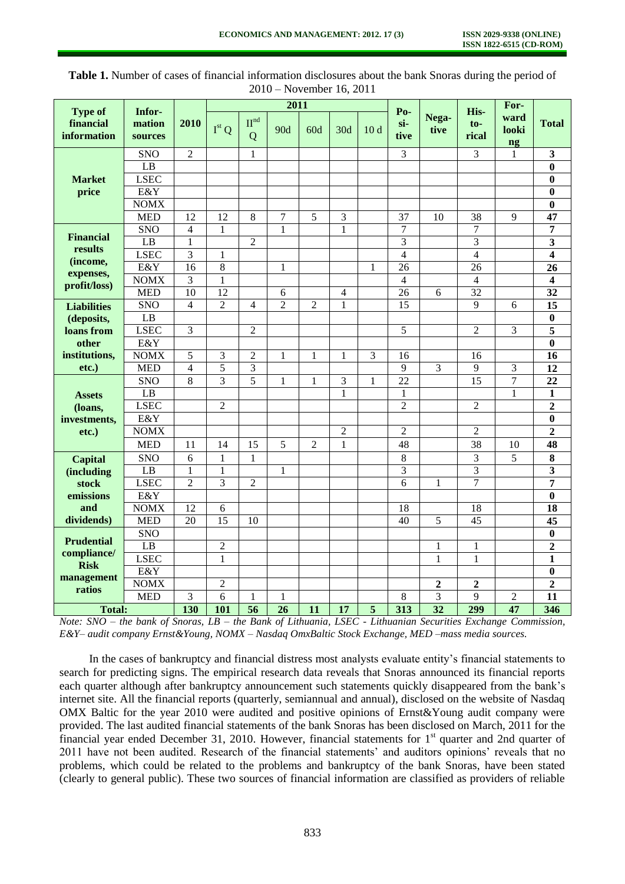|                                                               |                             |                          | 2011            |                       |                |                |                |                 |                               |                  |                          | For-                           |                         |
|---------------------------------------------------------------|-----------------------------|--------------------------|-----------------|-----------------------|----------------|----------------|----------------|-----------------|-------------------------------|------------------|--------------------------|--------------------------------|-------------------------|
| <b>Type of</b><br>financial<br>information                    | Infor-<br>mation<br>sources | 2010                     | $Ist$ O         | II <sup>nd</sup><br>Q | 90d            | 60d            | 30d            | 10 <sub>d</sub> | P <sub>0</sub><br>si-<br>tive | Nega-<br>tive    | His-<br>$to-$<br>rical   | ward<br>looki<br>$\mathbf{ng}$ | <b>Total</b>            |
| <b>Market</b><br>price                                        | <b>SNO</b>                  | $\overline{2}$           |                 | $\mathbf{1}$          |                |                |                |                 | $\overline{3}$                |                  | $\overline{3}$           | 1                              | $\overline{\mathbf{3}}$ |
|                                                               | $\overline{LB}$             |                          |                 |                       |                |                |                |                 |                               |                  |                          |                                | $\bf{0}$                |
|                                                               | <b>LSEC</b>                 |                          |                 |                       |                |                |                |                 |                               |                  |                          |                                | $\bf{0}$                |
|                                                               | E&Y                         |                          |                 |                       |                |                |                |                 |                               |                  |                          |                                | $\bf{0}$                |
|                                                               | <b>NOMX</b>                 |                          |                 |                       |                |                |                |                 |                               |                  |                          |                                | $\bf{0}$                |
|                                                               | <b>MED</b>                  | $\overline{12}$          | $\overline{12}$ | 8                     | 7              | $\overline{5}$ | 3              |                 | $\overline{37}$               | $\overline{10}$  | $\overline{38}$          | 9                              | $\overline{47}$         |
| <b>Financial</b>                                              | <b>SNO</b>                  | $\overline{\mathcal{L}}$ | $\mathbf{1}$    |                       | 1              |                | 1              |                 | $\overline{7}$                |                  | 7                        |                                | 7                       |
| results                                                       | LB                          | $\mathbf{1}$             |                 | $\overline{2}$        |                |                |                |                 | 3                             |                  | 3                        |                                | 3                       |
| (income,                                                      | <b>LSEC</b>                 | 3                        | 1               |                       |                |                |                |                 | $\overline{4}$                |                  | $\overline{4}$           |                                | $\overline{\mathbf{4}}$ |
| expenses,<br>profit/loss)                                     | E&Y                         | $\overline{16}$          | $\overline{8}$  |                       | 1              |                |                | 1               | $\overline{26}$               |                  | $\overline{26}$          |                                | $\overline{26}$         |
|                                                               | <b>NOMX</b>                 | 3                        | $\mathbf{1}$    |                       |                |                |                |                 | $\overline{4}$                |                  | $\overline{\mathcal{L}}$ |                                | 4                       |
|                                                               | <b>MED</b>                  | $\overline{10}$          | $\overline{12}$ |                       | 6              |                | $\overline{4}$ |                 | $\overline{26}$               | 6                | 32                       |                                | 32                      |
| <b>Liabilities</b>                                            | <b>SNO</b>                  | $\overline{4}$           | $\mathfrak{2}$  | 4                     | $\overline{c}$ | 2              | 1              |                 | 15                            |                  | 9                        | 6                              | 15                      |
| (deposits,                                                    | $\overline{LB}$             |                          |                 |                       |                |                |                |                 |                               |                  |                          |                                | $\bf{0}$                |
| loans from                                                    | <b>LSEC</b>                 | 3                        |                 | $\overline{2}$        |                |                |                |                 | 5                             |                  | $\overline{2}$           | 3                              | 5                       |
| other                                                         | E&Y                         |                          |                 |                       |                |                |                |                 |                               |                  |                          |                                | $\bf{0}$                |
| institutions,                                                 | <b>NOMX</b>                 | 5                        | 3               | $\overline{2}$        | 1              | 1              | 1              | 3               | 16                            |                  | 16                       |                                | 16                      |
| $etc.$ )                                                      | <b>MED</b>                  | $\overline{4}$           | 5               | 3                     |                |                |                |                 | 9                             | 3                | 9                        | 3                              | 12                      |
|                                                               | <b>SNO</b>                  | 8                        | 3               | 5                     | 1              | 1              | 3              | 1               | 22                            |                  | 15                       | 7                              | 22                      |
| <b>Assets</b>                                                 | LB                          |                          |                 |                       |                |                | 1              |                 | $\mathbf{1}$                  |                  |                          | 1                              | $\mathbf{1}$            |
| (loans,                                                       | <b>LSEC</b>                 |                          | $\overline{2}$  |                       |                |                |                |                 | $\overline{2}$                |                  | $\overline{2}$           |                                | $\overline{2}$          |
| investments,                                                  | E&Y                         |                          |                 |                       |                |                |                |                 |                               |                  |                          |                                | $\bf{0}$                |
| $etc.$ )                                                      | <b>NOMX</b>                 |                          |                 |                       |                |                | $\overline{c}$ |                 | $\overline{2}$                |                  | $\overline{2}$           |                                | $\overline{2}$          |
|                                                               | <b>MED</b>                  | 11                       | 14              | 15                    | 5              | $\overline{2}$ | $\mathbf{1}$   |                 | 48                            |                  | 38                       | 10                             | 48                      |
| <b>Capital</b>                                                | <b>SNO</b>                  | 6                        | $\mathbf{1}$    | 1                     |                |                |                |                 | 8                             |                  | $\overline{3}$           | 5                              | 8                       |
| <i>(including)</i>                                            | $\overline{L}B$             | 1                        | $\mathbf{1}$    |                       | 1              |                |                |                 | $\overline{3}$                |                  | $\overline{3}$           |                                | 3                       |
| stock                                                         | <b>LSEC</b>                 | $\overline{2}$           | $\overline{3}$  | $\overline{2}$        |                |                |                |                 | $\overline{6}$                | $\mathbf{1}$     | $\overline{7}$           |                                | 7                       |
| emissions                                                     | E&Y                         |                          |                 |                       |                |                |                |                 |                               |                  |                          |                                | $\overline{\mathbf{0}}$ |
| and                                                           | <b>NOMX</b>                 | 12                       | 6               |                       |                |                |                |                 | 18                            |                  | 18                       |                                | 18                      |
| dividends)                                                    | <b>MED</b>                  | 20                       | $\overline{15}$ | 10                    |                |                |                |                 | 40                            | 5                | 45                       |                                | 45                      |
| <b>Prudential</b><br>compliance/<br><b>Risk</b><br>management | SNO                         |                          |                 |                       |                |                |                |                 |                               |                  |                          |                                | $\bf{0}$                |
|                                                               | LB                          |                          | $\overline{2}$  |                       |                |                |                |                 |                               | $\mathbf{1}$     | $\mathbf{1}$             |                                | $\overline{2}$          |
|                                                               | <b>LSEC</b>                 |                          | $\mathbf{1}$    |                       |                |                |                |                 |                               | 1                | 1                        |                                | $\mathbf{1}$            |
|                                                               | E&Y                         |                          |                 |                       |                |                |                |                 |                               |                  |                          |                                | $\bf{0}$                |
| ratios                                                        | <b>NOMX</b>                 |                          | $\overline{2}$  |                       |                |                |                |                 |                               | $\boldsymbol{2}$ | $\mathbf{2}$             |                                | $\mathbf{2}$            |
|                                                               | <b>MED</b>                  | 3                        | 6               | 1                     | 1              |                |                |                 | 8                             | 3                | 9                        | 2                              | 11                      |
| <b>Total:</b>                                                 |                             | 130                      | 101             | 56                    | 26             | 11             | 17             | 5               | 313                           | 32               | 299                      | 47                             | 346                     |

**Table 1.** Number of cases of financial information disclosures about the bank Snoras during the period of 2010 – November 16, 2011

*Note: SNO – the bank of Snoras, LB – the Bank of Lithuania, LSEC - Lithuanian Securities Exchange Commission, E&Y– audit company Ernst&Young, NOMX – Nasdaq OmxBaltic Stock Exchange, MED –mass media sources.* 

In the cases of bankruptcy and financial distress most analysts evaluate entity's financial statements to search for predicting signs. The empirical research data reveals that Snoras announced its financial reports each quarter although after bankruptcy announcement such statements quickly disappeared from the bank's internet site. All the financial reports (quarterly, semiannual and annual), disclosed on the website of Nasdaq OMX Baltic for the year 2010 were audited and positive opinions of Ernst&Young audit company were provided. The last audited financial statements of the bank Snoras has been disclosed on March, 2011 for the financial year ended December 31, 2010. However, financial statements for  $1<sup>st</sup>$  quarter and 2nd quarter of 2011 have not been audited. Research of the financial statements' and auditors opinions' reveals that no problems, which could be related to the problems and bankruptcy of the bank Snoras, have been stated (clearly to general public). These two sources of financial information are classified as providers of reliable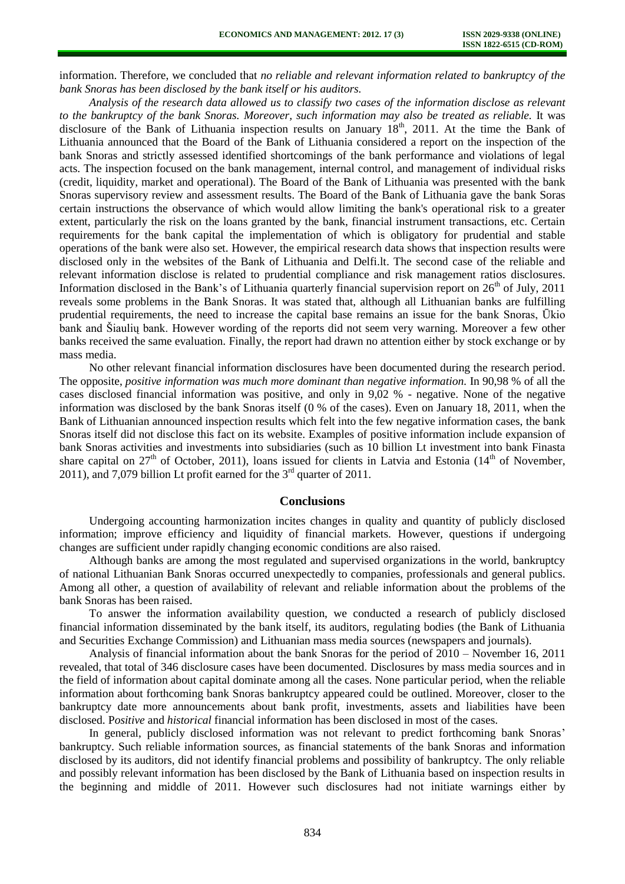information. Therefore, we concluded that *no reliable and relevant information related to bankruptcy of the bank Snoras has been disclosed by the bank itself or his auditors.*

*Analysis of the research data allowed us to classify two cases of the information disclose as relevant to the bankruptcy of the bank Snoras. Moreover, such information may also be treated as reliable.* It was disclosure of the Bank of Lithuania inspection results on January 18<sup>th</sup>, 2011. At the time the Bank of Lithuania announced that the Board of the Bank of Lithuania considered a report on the inspection of the bank Snoras and strictly assessed identified shortcomings of the bank performance and violations of legal acts. The inspection focused on the bank management, internal control, and management of individual risks (credit, liquidity, market and operational). The Board of the Bank of Lithuania was presented with the bank Snoras supervisory review and assessment results. The Board of the Bank of Lithuania gave the bank Soras certain instructions the observance of which would allow limiting the bank's operational risk to a greater extent, particularly the risk on the loans granted by the bank, financial instrument transactions, etc. Certain requirements for the bank capital the implementation of which is obligatory for prudential and stable operations of the bank were also set. However, the empirical research data shows that inspection results were disclosed only in the websites of the Bank of Lithuania and Delfi.lt. The second case of the reliable and relevant information disclose is related to prudential compliance and risk management ratios disclosures. Information disclosed in the Bank's of Lithuania quarterly financial supervision report on  $26<sup>th</sup>$  of July, 2011 reveals some problems in the Bank Snoras. It was stated that, although all Lithuanian banks are fulfilling prudential requirements, the need to increase the capital base remains an issue for the bank Snoras, Ūkio bank and Šiaulių bank. However wording of the reports did not seem very warning. Moreover a few other banks received the same evaluation. Finally, the report had drawn no attention either by stock exchange or by mass media.

No other relevant financial information disclosures have been documented during the research period. The opposite, *positive information was much more dominant than negative information.* In 90,98 % of all the cases disclosed financial information was positive, and only in 9,02 % - negative. None of the negative information was disclosed by the bank Snoras itself (0 % of the cases). Even on January 18, 2011, when the Bank of Lithuanian announced inspection results which felt into the few negative information cases, the bank Snoras itself did not disclose this fact on its website. Examples of positive information include expansion of bank Snoras activities and investments into subsidiaries (such as 10 billion Lt investment into bank Finasta share capital on  $27<sup>th</sup>$  of October, 2011), loans issued for clients in Latvia and Estonia (14<sup>th</sup> of November, 2011), and 7,079 billion Lt profit earned for the  $3<sup>rd</sup>$  quarter of 2011.

#### **Conclusions**

Undergoing accounting harmonization incites changes in quality and quantity of publicly disclosed information; improve efficiency and liquidity of financial markets. However, questions if undergoing changes are sufficient under rapidly changing economic conditions are also raised.

Although banks are among the most regulated and supervised organizations in the world, bankruptcy of national Lithuanian Bank Snoras occurred unexpectedly to companies, professionals and general publics. Among all other, a question of availability of relevant and reliable information about the problems of the bank Snoras has been raised.

To answer the information availability question, we conducted a research of publicly disclosed financial information disseminated by the bank itself, its auditors, regulating bodies (the Bank of Lithuania and Securities Exchange Commission) and Lithuanian mass media sources (newspapers and journals).

Analysis of financial information about the bank Snoras for the period of 2010 – November 16, 2011 revealed, that total of 346 disclosure cases have been documented. Disclosures by mass media sources and in the field of information about capital dominate among all the cases. None particular period, when the reliable information about forthcoming bank Snoras bankruptcy appeared could be outlined. Moreover, closer to the bankruptcy date more announcements about bank profit, investments, assets and liabilities have been disclosed. P*ositive* and *historical* financial information has been disclosed in most of the cases.

In general, publicly disclosed information was not relevant to predict forthcoming bank Snoras' bankruptcy. Such reliable information sources, as financial statements of the bank Snoras and information disclosed by its auditors, did not identify financial problems and possibility of bankruptcy. The only reliable and possibly relevant information has been disclosed by the Bank of Lithuania based on inspection results in the beginning and middle of 2011. However such disclosures had not initiate warnings either by